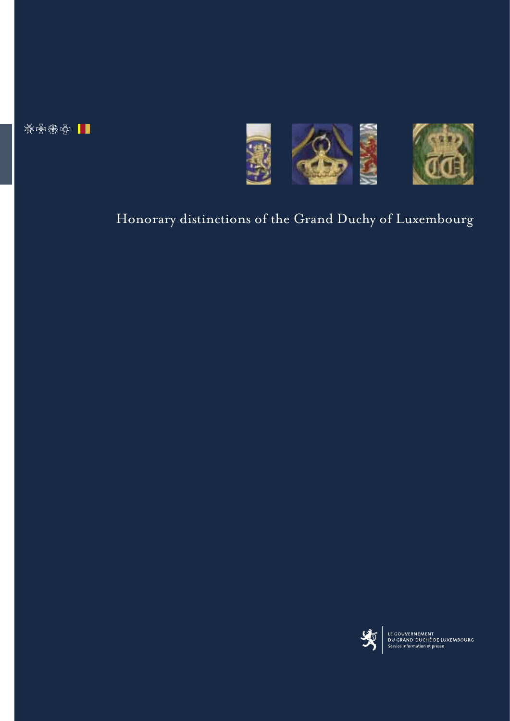※图像图 | |



# Honorary distinctions of the Grand Duchy of Luxembourg



LE GOUVERNEMENT<br>DU GRAND-DUCHÉ DE LUXEMBOURG<br>Service information et presse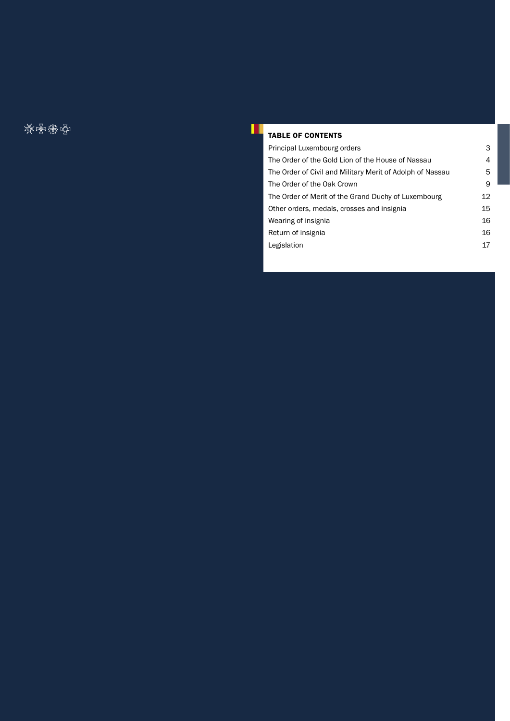交响遇空

## TABLE OF CONTENTS

Ш

| Principal Luxembourg orders                               | 3  |
|-----------------------------------------------------------|----|
| The Order of the Gold Lion of the House of Nassau         | 4  |
| The Order of Civil and Military Merit of Adolph of Nassau | 5  |
| The Order of the Oak Crown                                | 9  |
| The Order of Merit of the Grand Duchy of Luxembourg       | 12 |
| Other orders, medals, crosses and insignia                | 15 |
| Wearing of insignia                                       | 16 |
| Return of insignia                                        | 16 |
| Legislation                                               | 17 |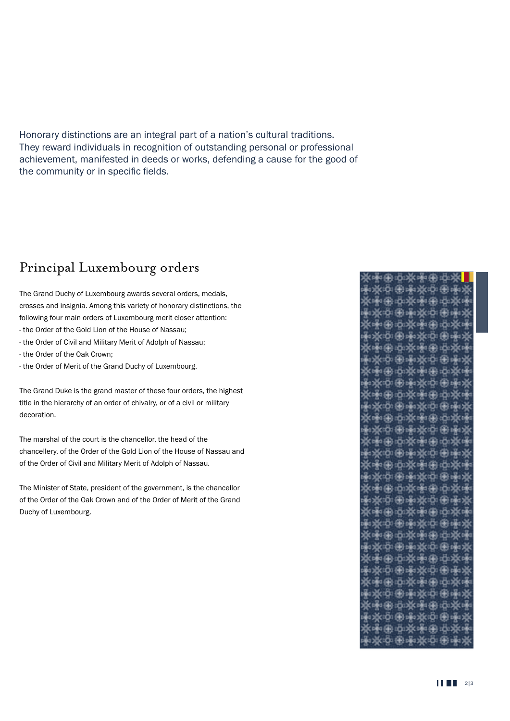Honorary distinctions are an integral part of a nation's cultural traditions. They reward individuals in recognition of outstanding personal or professional achievement, manifested in deeds or works, defending a cause for the good of the community or in specific fields.

## Principal Luxembourg orders

The Grand Duchy of Luxembourg awards several orders, medals, crosses and insignia. Among this variety of honorary distinctions, the following four main orders of Luxembourg merit closer attention:

- the Order of the Gold Lion of the House of Nassau;
- the Order of Civil and Military Merit of Adolph of Nassau;
- the Order of the Oak Crown;
- the Order of Merit of the Grand Duchy of Luxembourg.

The Grand Duke is the grand master of these four orders, the highest title in the hierarchy of an order of chivalry, or of a civil or military decoration.

The marshal of the court is the chancellor, the head of the chancellery, of the Order of the Gold Lion of the House of Nassau and of the Order of Civil and Military Merit of Adolph of Nassau.

The Minister of State, president of the government, is the chancellor of the Order of the Oak Crown and of the Order of Merit of the Grand Duchy of Luxembourg.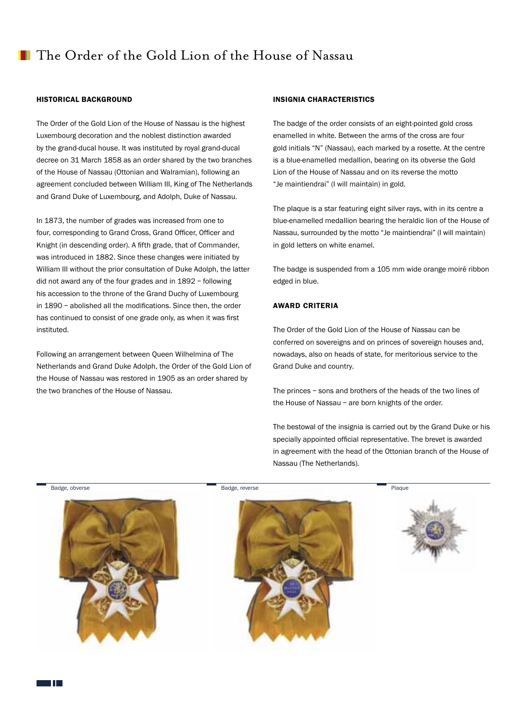## The Order of the Gold Lion of the House of Nassau

### HISTORICAL BACKGROUND

The Order of the Gold Lion of the House of Nassau is the highest Luxembourg decoration and the noblest distinction awarded by the grand-ducal house. It was instituted by royal grand-ducal decree on 31 March 1858 as an order shared by the two branches of the House of Nassau (Ottonian and Walramian), following an agreement concluded between William III, King of The Netherlands and Grand Duke of Luxembourg, and Adolph, Duke of Nassau.

In 1873, the number of grades was increased from one to four, corresponding to Grand Cross, Grand Officer, Officer and Knight (in descending order). A fifth grade, that of Commander, was introduced in 1882. Since these changes were initiated by William III without the prior consultation of Duke Adolph, the latter did not award any of the four grades and in 1892 – following his accession to the throne of the Grand Duchy of Luxembourg in 1890 – abolished all the modifications. Since then, the order has continued to consist of one grade only, as when it was first instituted.

Following an arrangement between Queen Wilhelmina of The Netherlands and Grand Duke Adolph, the Order of the Gold Lion of the House of Nassau was restored in 1905 as an order shared by the two branches of the House of Nassau.

## INSIGNIA CHARACTERISTICS

The badge of the order consists of an eight-pointed gold cross enamelled in white. Between the arms of the cross are four gold initials "N" (Nassau), each marked by a rosette. At the centre is a blue-enamelled medallion, bearing on its obverse the Gold Lion of the House of Nassau and on its reverse the motto "Je maintiendrai" (I will maintain) in gold.

The plaque is a star featuring eight silver rays, with in its centre a blue-enamelled medallion bearing the heraldic lion of the House of Nassau, surrounded by the motto "Je maintiendrai" (I will maintain) in gold letters on white enamel.

The badge is suspended from a 105 mm wide orange moiré ribbon edged in blue.

## AWARD CRITERIA

The Order of the Gold Lion of the House of Nassau can be conferred on sovereigns and on princes of sovereign houses and, nowadays, also on heads of state, for meritorious service to the Grand Duke and country.

The princes – sons and brothers of the heads of the two lines of the House of Nassau – are born knights of the order.

The bestowal of the insignia is carried out by the Grand Duke or his specially appointed official representative. The brevet is awarded in agreement with the head of the Ottonian branch of the House of Nassau (The Netherlands).

Badge, obverse Plaque Badge, reverse Planch and Badge, reverse Plaque Badge, reverse Plaque Badge, reverse Plaque







T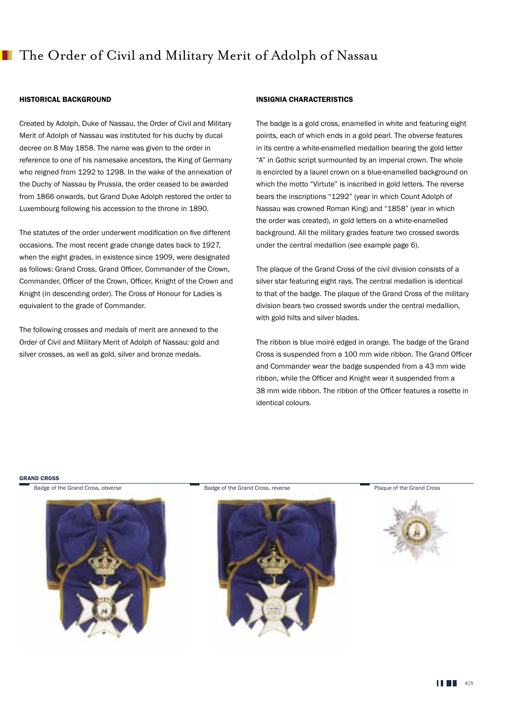## HISTORICAL BACKGROUND

Created by Adolph, Duke of Nassau, the Order of Civil and Military Merit of Adolph of Nassau was instituted for his duchy by ducal decree on 8 May 1858. The name was given to the order in reference to one of his namesake ancestors, the King of Germany who reigned from 1292 to 1298. In the wake of the annexation of the Duchy of Nassau by Prussia, the order ceased to be awarded from 1866 onwards, but Grand Duke Adolph restored the order to Luxembourg following his accession to the throne in 1890.

The statutes of the order underwent modification on five different occasions. The most recent grade change dates back to 1927, when the eight grades, in existence since 1909, were designated as follows: Grand Cross, Grand Officer, Commander of the Crown, Commander, Officer of the Crown, Officer, Knight of the Crown and Knight (in descending order). The Cross of Honour for Ladies is equivalent to the grade of Commander.

The following crosses and medals of merit are annexed to the Order of Civil and Military Merit of Adolph of Nassau: gold and silver crosses, as well as gold, silver and bronze medals.

## INSIGNIA CHARACTERISTICS

The badge is a gold cross, enamelled in white and featuring eight points, each of which ends in a gold pearl. The obverse features in its centre a white-enamelled medallion bearing the gold letter "A" in Gothic script surmounted by an imperial crown. The whole is encircled by a laurel crown on a blue-enamelled background on which the motto "Virtute" is inscribed in gold letters. The reverse bears the inscriptions "1292" (year in which Count Adolph of Nassau was crowned Roman King) and "1858" (year in which the order was created), in gold letters on a white-enamelled background. All the military grades feature two crossed swords under the central medallion (see example page 6).

The plaque of the Grand Cross of the civil division consists of a silver star featuring eight rays. The central medallion is identical to that of the badge. The plaque of the Grand Cross of the military division bears two crossed swords under the central medallion, with gold hilts and silver blades.

The ribbon is blue moiré edged in orange. The badge of the Grand Cross is suspended from a 100 mm wide ribbon. The Grand Officer and Commander wear the badge suspended from a 43 mm wide ribbon, while the Officer and Knight wear it suspended from a 38 mm wide ribbon. The ribbon of the Officer features a rosette in identical colours.

#### GRAND CROSS

Badge of the Grand Cross, obverse



Badge of the Grand Cross, reverse **Plaque of the Grand Cross** 



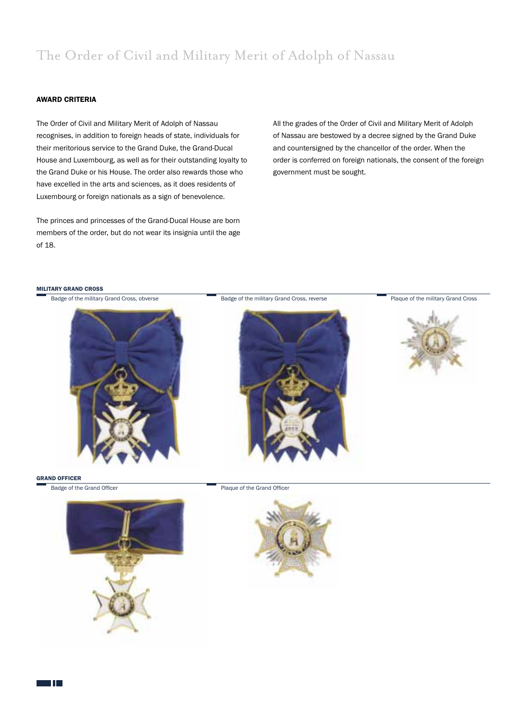# The Order of Civil and Military Merit of Adolph of Nassau

## AWARD CRITERIA

The Order of Civil and Military Merit of Adolph of Nassau recognises, in addition to foreign heads of state, individuals for their meritorious service to the Grand Duke, the Grand-Ducal House and Luxembourg, as well as for their outstanding loyalty to the Grand Duke or his House. The order also rewards those who have excelled in the arts and sciences, as it does residents of Luxembourg or foreign nationals as a sign of benevolence.

The princes and princesses of the Grand-Ducal House are born members of the order, but do not wear its insignia until the age of 18.

All the grades of the Order of Civil and Military Merit of Adolph of Nassau are bestowed by a decree signed by the Grand Duke and countersigned by the chancellor of the order. When the order is conferred on foreign nationals, the consent of the foreign government must be sought.

#### MILITARY GRAND CROSS









TH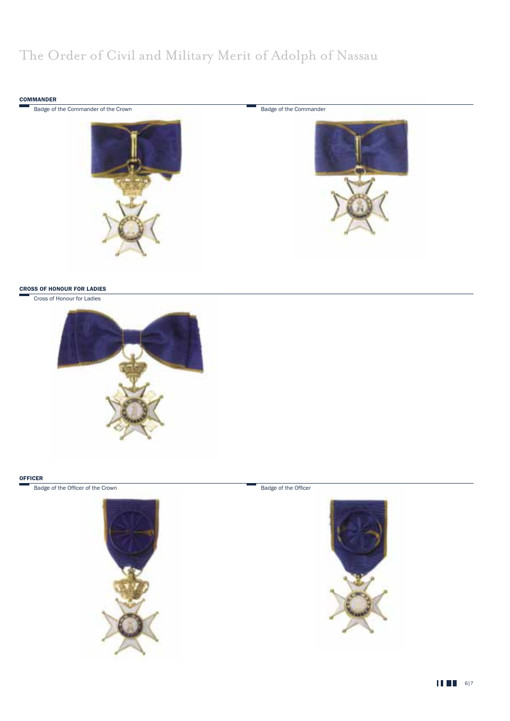# The Order of Civil and Military Merit of Adolph of Nassau



## CROSS OF HONOUR FOR LADIES

Cross of Honour for Ladies



#### **OFFICER**

Badge of the Officer of the Crown



Badge of the Officer



**11 81** 6|7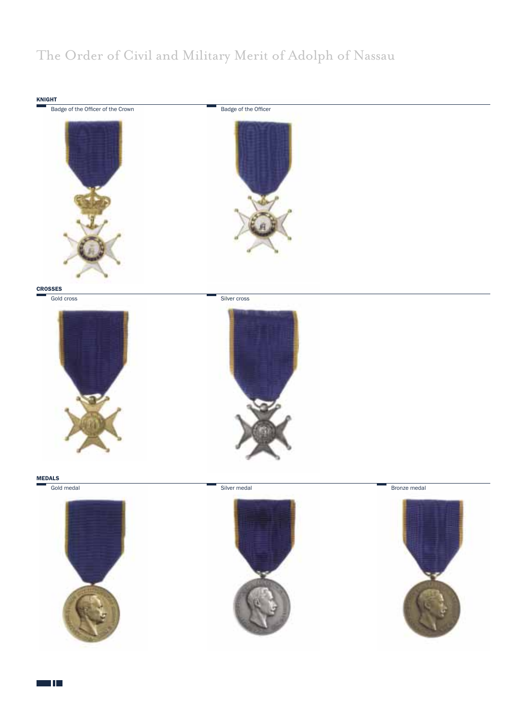# The Order of Civil and Military Merit of Adolph of Nassau



a Tin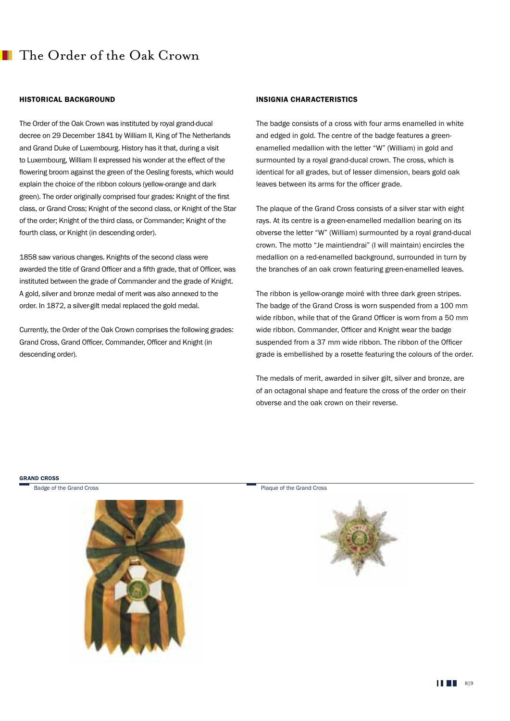## The Order of the Oak Crown

### HISTORICAL BACKGROUND

The Order of the Oak Crown was instituted by royal grand-ducal decree on 29 December 1841 by William II, King of The Netherlands and Grand Duke of Luxembourg. History has it that, during a visit to Luxembourg, William II expressed his wonder at the effect of the flowering broom against the green of the Oesling forests, which would explain the choice of the ribbon colours (yellow-orange and dark green). The order originally comprised four grades: Knight of the first class, or Grand Cross; Knight of the second class, or Knight of the Star of the order; Knight of the third class, or Commander; Knight of the fourth class, or Knight (in descending order).

1858 saw various changes. Knights of the second class were awarded the title of Grand Officer and a fifth grade, that of Officer, was instituted between the grade of Commander and the grade of Knight. A gold, silver and bronze medal of merit was also annexed to the order. In 1872, a silver-gilt medal replaced the gold medal.

Currently, the Order of the Oak Crown comprises the following grades: Grand Cross, Grand Officer, Commander, Officer and Knight (in descending order).

## INSIGNIA CHARACTERISTICS

The badge consists of a cross with four arms enamelled in white and edged in gold. The centre of the badge features a greenenamelled medallion with the letter "W" (William) in gold and surmounted by a royal grand-ducal crown. The cross, which is identical for all grades, but of lesser dimension, bears gold oak leaves between its arms for the officer grade.

The plaque of the Grand Cross consists of a silver star with eight rays. At its centre is a green-enamelled medallion bearing on its obverse the letter "W" (William) surmounted by a royal grand-ducal crown. The motto "Je maintiendrai" (I will maintain) encircles the medallion on a red-enamelled background, surrounded in turn by the branches of an oak crown featuring green-enamelled leaves.

The ribbon is yellow-orange moiré with three dark green stripes. The badge of the Grand Cross is worn suspended from a 100 mm wide ribbon, while that of the Grand Officer is worn from a 50 mm wide ribbon. Commander, Officer and Knight wear the badge suspended from a 37 mm wide ribbon. The ribbon of the Officer grade is embellished by a rosette featuring the colours of the order.

The medals of merit, awarded in silver gilt, silver and bronze, are of an octagonal shape and feature the cross of the order on their obverse and the oak crown on their reverse.

#### GRAND CROSS

Badge of the Grand Cross



Plaque of the Grand Cross

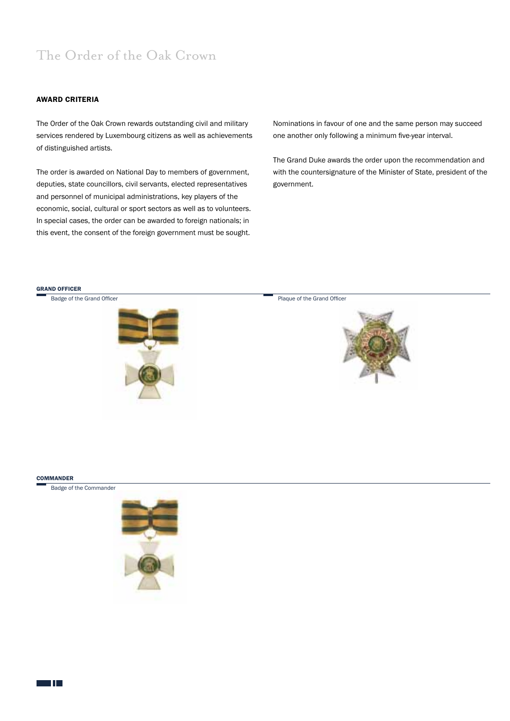# The Order of the Oak Crown

## AWARD CRITERIA

The Order of the Oak Crown rewards outstanding civil and military services rendered by Luxembourg citizens as well as achievements of distinguished artists.

The order is awarded on National Day to members of government, deputies, state councillors, civil servants, elected representatives and personnel of municipal administrations, key players of the economic, social, cultural or sport sectors as well as to volunteers. In special cases, the order can be awarded to foreign nationals; in this event, the consent of the foreign government must be sought.

Nominations in favour of one and the same person may succeed one another only following a minimum five-year interval.

The Grand Duke awards the order upon the recommendation and with the countersignature of the Minister of State, president of the government.

#### GRAND OFFICER



#### **COMMANDER**

Badge of the Commander



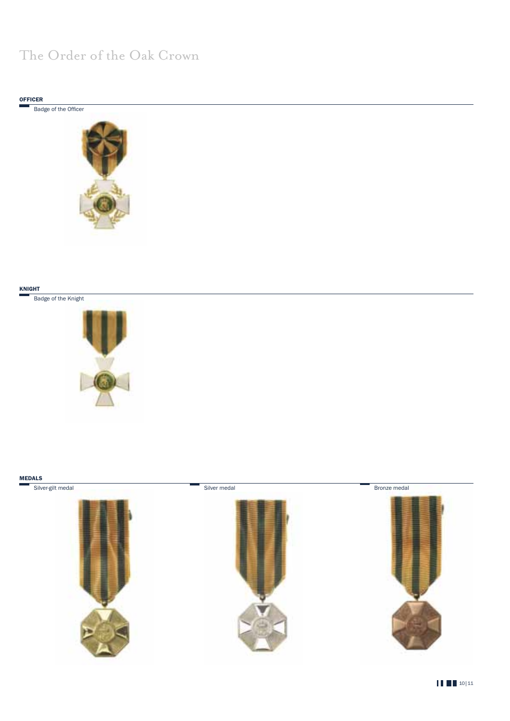# The Order of the Oak Crown





## KNIGHT

Badge of the Knight



#### MEDALS

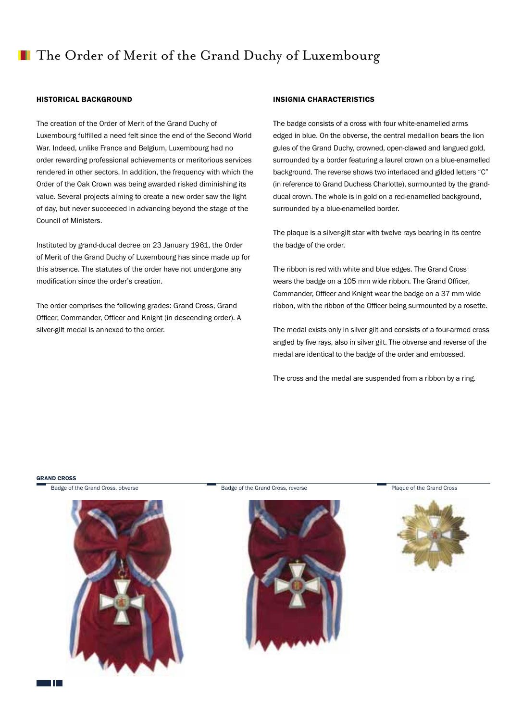## **The Order of Merit of the Grand Duchy of Luxembourg**

### HISTORICAL BACKGROUND

The creation of the Order of Merit of the Grand Duchy of Luxembourg fulfilled a need felt since the end of the Second World War. Indeed, unlike France and Belgium, Luxembourg had no order rewarding professional achievements or meritorious services rendered in other sectors. In addition, the frequency with which the Order of the Oak Crown was being awarded risked diminishing its value. Several projects aiming to create a new order saw the light of day, but never succeeded in advancing beyond the stage of the Council of Ministers.

Instituted by grand-ducal decree on 23 January 1961, the Order of Merit of the Grand Duchy of Luxembourg has since made up for this absence. The statutes of the order have not undergone any modification since the order's creation.

The order comprises the following grades: Grand Cross, Grand Officer, Commander, Officer and Knight (in descending order). A silver-gilt medal is annexed to the order.

### INSIGNIA CHARACTERISTICS

The badge consists of a cross with four white-enamelled arms edged in blue. On the obverse, the central medallion bears the lion gules of the Grand Duchy, crowned, open-clawed and langued gold, surrounded by a border featuring a laurel crown on a blue-enamelled background. The reverse shows two interlaced and gilded letters "C" (in reference to Grand Duchess Charlotte), surmounted by the grandducal crown. The whole is in gold on a red-enamelled background, surrounded by a blue-enamelled border.

The plaque is a silver-gilt star with twelve rays bearing in its centre the badge of the order.

The ribbon is red with white and blue edges. The Grand Cross wears the badge on a 105 mm wide ribbon. The Grand Officer, Commander, Officer and Knight wear the badge on a 37 mm wide ribbon, with the ribbon of the Officer being surmounted by a rosette.

The medal exists only in silver gilt and consists of a four-armed cross angled by five rays, also in silver gilt. The obverse and reverse of the medal are identical to the badge of the order and embossed.

The cross and the medal are suspended from a ribbon by a ring.

#### GRAND CROSS

Badge of the Grand Cross, obverse



Badge of the Grand Cross, reverse **Plaque of the Grand Cross** 





T T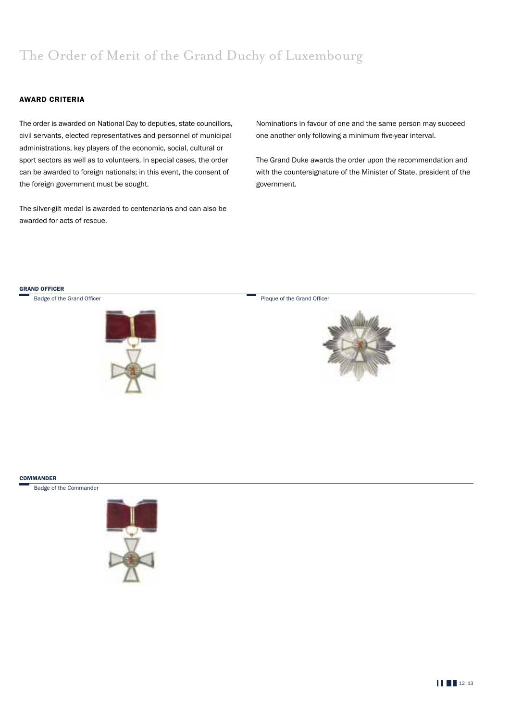# The Order of Merit of the Grand Duchy of Luxembourg

## AWARD CRITERIA

The order is awarded on National Day to deputies, state councillors, civil servants, elected representatives and personnel of municipal administrations, key players of the economic, social, cultural or sport sectors as well as to volunteers. In special cases, the order can be awarded to foreign nationals; in this event, the consent of the foreign government must be sought.

The silver-gilt medal is awarded to centenarians and can also be awarded for acts of rescue.

Nominations in favour of one and the same person may succeed one another only following a minimum five-year interval.

The Grand Duke awards the order upon the recommendation and with the countersignature of the Minister of State, president of the government.



Badge of the Grand Officer

Plaque of the Grand Officer



#### **COMMANDER**

Badge of the Commander



**12|13|12|13**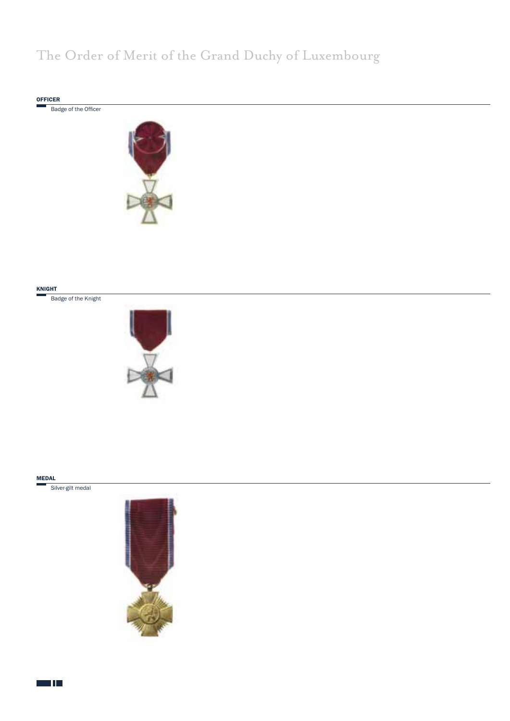# The Order of Merit of the Grand Duchy of Luxembourg



Badge of the Officer



#### KNIGHT

Badge of the Knight



#### MEDAL

Silver-gilt medal



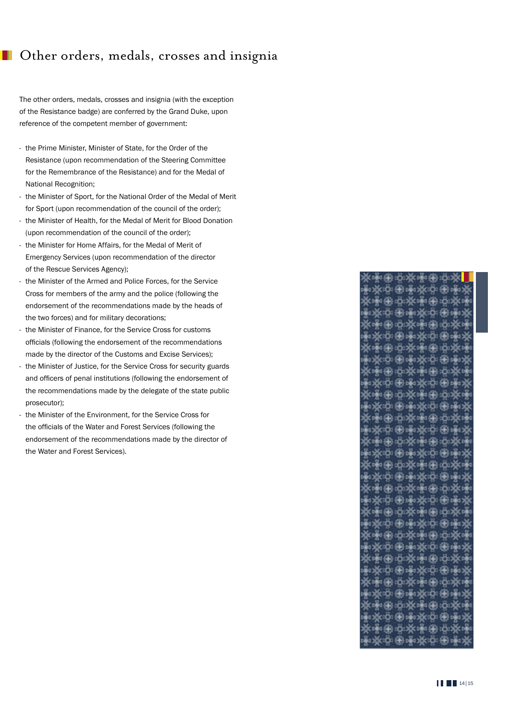## **Other orders, medals, crosses and insignia**

The other orders, medals, crosses and insignia (with the exception of the Resistance badge) are conferred by the Grand Duke, upon reference of the competent member of government:

- the Prime Minister, Minister of State, for the Order of the Resistance (upon recommendation of the Steering Committee for the Remembrance of the Resistance) and for the Medal of National Recognition;
- the Minister of Sport, for the National Order of the Medal of Merit for Sport (upon recommendation of the council of the order);
- the Minister of Health, for the Medal of Merit for Blood Donation (upon recommendation of the council of the order);
- the Minister for Home Affairs, for the Medal of Merit of Emergency Services (upon recommendation of the director of the Rescue Services Agency);
- the Minister of the Armed and Police Forces, for the Service Cross for members of the army and the police (following the endorsement of the recommendations made by the heads of the two forces) and for military decorations;
- the Minister of Finance, for the Service Cross for customs officials (following the endorsement of the recommendations made by the director of the Customs and Excise Services);
- the Minister of Justice, for the Service Cross for security guards and officers of penal institutions (following the endorsement of the recommendations made by the delegate of the state public prosecutor);
- the Minister of the Environment, for the Service Cross for the officials of the Water and Forest Services (following the endorsement of the recommendations made by the director of the Water and Forest Services).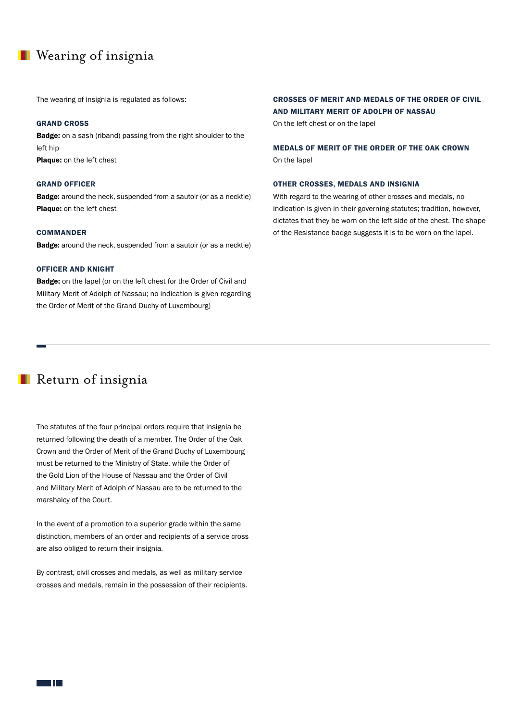## **Nearing of insignia**

The wearing of insignia is regulated as follows:

## GRAND CROSS

Badge: on a sash (riband) passing from the right shoulder to the left hip Plaque: on the left chest

## GRAND OFFICER

**Badge:** around the neck, suspended from a sautoir (or as a necktie) Plaque: on the left chest

#### COMMANDER

**Badge:** around the neck, suspended from a sautoir (or as a necktie)

#### OFFICER AND KNIGHT

**Badge:** on the lapel (or on the left chest for the Order of Civil and Military Merit of Adolph of Nassau; no indication is given regarding the Order of Merit of the Grand Duchy of Luxembourg)

## CROSSES OF MERIT AND MEDALS OF THE ORDER OF CIVIL AND MILITARY MERIT OF ADOLPH OF NASSAU

On the left chest or on the lapel

MEDALS OF MERIT OF THE ORDER OF THE OAK CROWN On the lapel

## OTHER CROSSES, MEDALS AND INSIGNIA

With regard to the wearing of other crosses and medals, no indication is given in their governing statutes; tradition, however, dictates that they be worn on the left side of the chest. The shape of the Resistance badge suggests it is to be worn on the lapel.

## **Return of insignia**

The statutes of the four principal orders require that insignia be returned following the death of a member. The Order of the Oak Crown and the Order of Merit of the Grand Duchy of Luxembourg must be returned to the Ministry of State, while the Order of the Gold Lion of the House of Nassau and the Order of Civil and Military Merit of Adolph of Nassau are to be returned to the marshalcy of the Court.

In the event of a promotion to a superior grade within the same distinction, members of an order and recipients of a service cross are also obliged to return their insignia.

By contrast, civil crosses and medals, as well as military service crosses and medals, remain in the possession of their recipients.

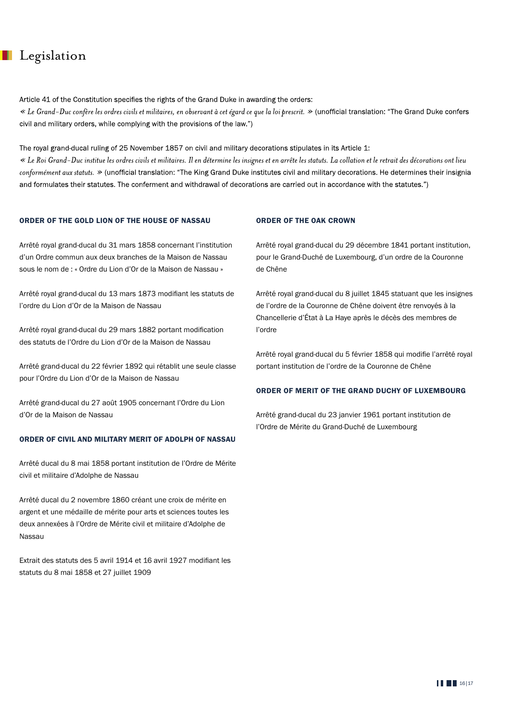## **Legislation**

Article 41 of the Constitution specifies the rights of the Grand Duke in awarding the orders:

« Le Grand-Duc confère les ordres civils et militaires, en observant à cet égard ce que la loi prescrit. » (unofficial translation: "The Grand Duke confers civil and military orders, while complying with the provisions of the law.")

The royal grand-ducal ruling of 25 November 1857 on civil and military decorations stipulates in its Article 1:

« Le Roi Grand–Duc institue les ordres civils et militaires. Il en détermine les insignes et en arrête les statuts. La collation et le retrait des décorations ont lieu conformément aux statuts. » (unofficial translation: "The King Grand Duke institutes civil and military decorations. He determines their insignia and formulates their statutes. The conferment and withdrawal of decorations are carried out in accordance with the statutes.")

## ORDER OF THE GOLD LION OF THE HOUSE OF NASSAU

Arrêté royal grand-ducal du 31 mars 1858 concernant l'institution d'un Ordre commun aux deux branches de la Maison de Nassau sous le nom de : « Ordre du Lion d'Or de la Maison de Nassau »

Arrêté royal grand-ducal du 13 mars 1873 modifiant les statuts de l'ordre du Lion d'Or de la Maison de Nassau

Arrêté royal grand-ducal du 29 mars 1882 portant modification des statuts de l'Ordre du Lion d'Or de la Maison de Nassau

Arrêté grand-ducal du 22 février 1892 qui rétablit une seule classe pour l'Ordre du Lion d'Or de la Maison de Nassau

Arrêté grand-ducal du 27 août 1905 concernant l'Ordre du Lion d'Or de la Maison de Nassau

## ORDER OF CIVIL AND MILITARY MERIT OF ADOLPH OF NASSAU

Arrêté ducal du 8 mai 1858 portant institution de l'Ordre de Mérite civil et militaire d'Adolphe de Nassau

Arrêté ducal du 2 novembre 1860 créant une croix de mérite en argent et une médaille de mérite pour arts et sciences toutes les deux annexées à l'Ordre de Mérite civil et militaire d'Adolphe de Nassau

Extrait des statuts des 5 avril 1914 et 16 avril 1927 modifiant les statuts du 8 mai 1858 et 27 juillet 1909

## ORDER OF THE OAK CROWN

Arrêté royal grand-ducal du 29 décembre 1841 portant institution, pour le Grand-Duché de Luxembourg, d'un ordre de la Couronne de Chêne

Arrêté royal grand-ducal du 8 juillet 1845 statuant que les insignes de l'ordre de la Couronne de Chêne doivent être renvoyés à la Chancellerie d'État à La Haye après le décès des membres de l'ordre

Arrêté royal grand-ducal du 5 février 1858 qui modifie l'arrêté royal portant institution de l'ordre de la Couronne de Chêne

## ORDER OF MERIT OF THE GRAND DUCHY OF LUXEMBOURG

Arrêté grand-ducal du 23 janvier 1961 portant institution de l'Ordre de Mérite du Grand-Duché de Luxembourg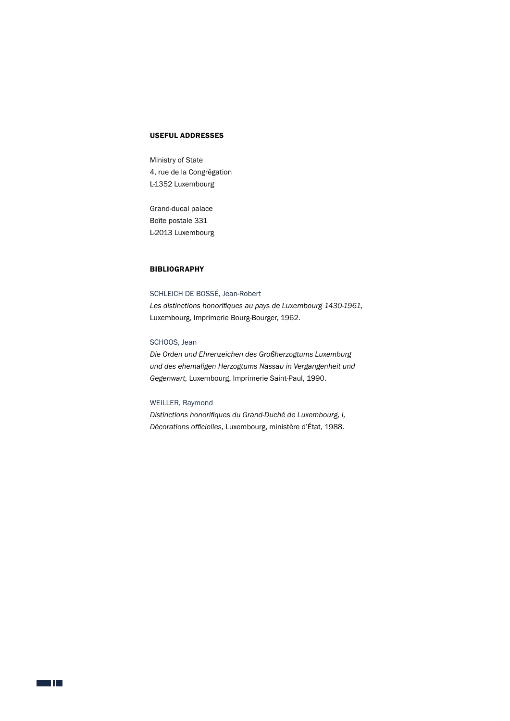## USEFUL ADDRESSES

Ministry of State 4, rue de la Congrégation L-1352 Luxembourg

Grand-ducal palace Boîte postale 331 L-2013 Luxembourg

## **BIBLIOGRAPHY**

SCHLEICH DE BOSSÉ, Jean-Robert *Les distinctions honorifiques au pays de Luxembourg 1430-1961,*  Luxembourg, Imprimerie Bourg-Bourger, 1962.

## SCHOOS, Jean

*Die Orden und Ehrenzeichen des Großherzogtums Luxemburg und des ehemaligen Herzogtums Nassau in Vergangenheit und Gegenwart,* Luxembourg, Imprimerie Saint-Paul, 1990.

## WEILLER, Raymond

*Distinctions honorifiques du Grand-Duché de Luxembourg, I, Décorations officielles,* Luxembourg, ministère d'État, 1988.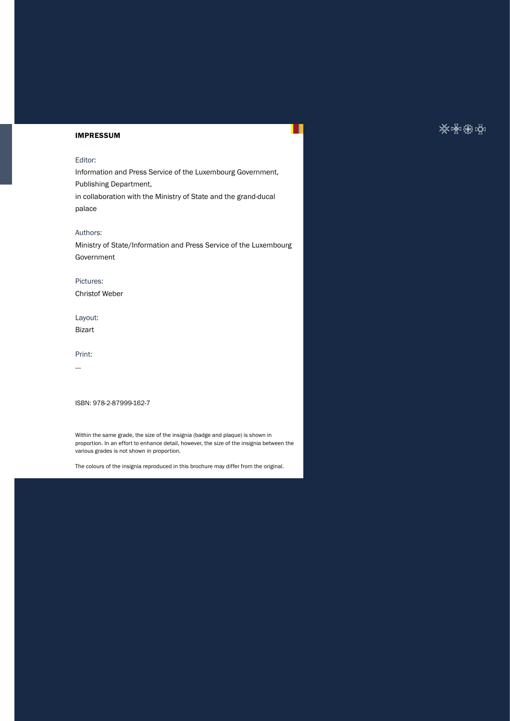## IMPRESSUM

## Editor:

Information and Press Service of the Luxembourg Government, Publishing Department,

in collaboration with the Ministry of State and the grand-ducal palace

#### Authors:

Ministry of State/Information and Press Service of the Luxembourg Government

## Pictures:

Christof Weber

## Layout:

Bizart

#### Print:

...

ISBN: 978-2-87999-162-7

Within the same grade, the size of the insignia (badge and plaque) is shown in proportion. In an effort to enhance detail, however, the size of the insignia between the various grades is not shown in proportion.

The colours of the insignia reproduced in this brochure may differ from the original.

## ※※衡响